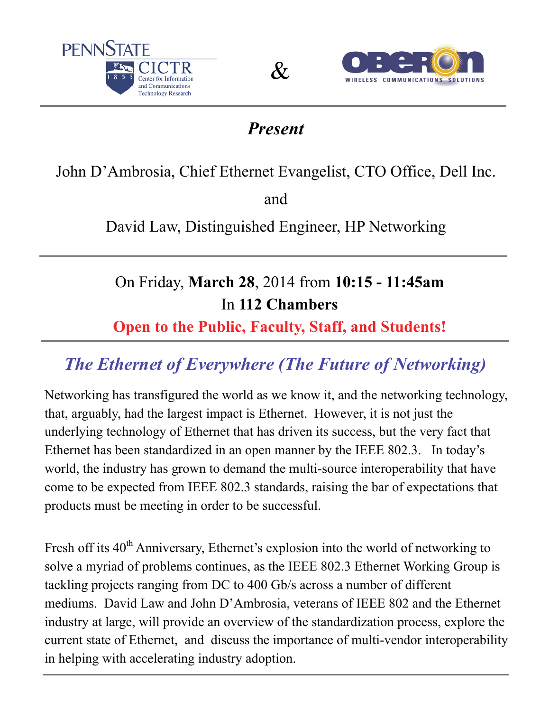





## *Present*

John D'Ambrosia, Chief Ethernet Evangelist, CTO Office, Dell Inc.

and

David Law, Distinguished Engineer, HP Networking

## On Friday, **March 28**, 2014 from **10:15 - 11:45am**  In **112 Chambers**

## **Open to the Public, Faculty, Staff, and Students!**

## *The Ethernet of Everywhere (The Future of Networking)*

Networking has transfigured the world as we know it, and the networking technology, that, arguably, had the largest impact is Ethernet. However, it is not just the underlying technology of Ethernet that has driven its success, but the very fact that Ethernet has been standardized in an open manner by the IEEE 802.3. In today's world, the industry has grown to demand the multi-source interoperability that have come to be expected from IEEE 802.3 standards, raising the bar of expectations that products must be meeting in order to be successful.

Fresh off its 40<sup>th</sup> Anniversary, Ethernet's explosion into the world of networking to solve a myriad of problems continues, as the IEEE 802.3 Ethernet Working Group is tackling projects ranging from DC to 400 Gb/s across a number of different mediums. David Law and John D'Ambrosia, veterans of IEEE 802 and the Ethernet industry at large, will provide an overview of the standardization process, explore the current state of Ethernet, and discuss the importance of multi-vendor interoperability in helping with accelerating industry adoption.